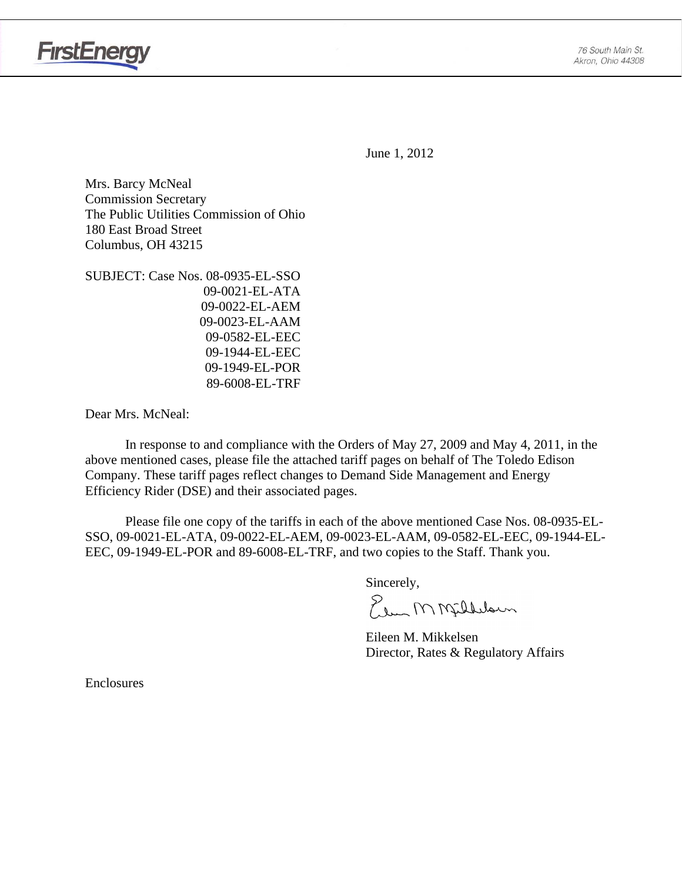



June 1, 2012

Mrs. Barcy McNeal Commission Secretary The Public Utilities Commission of Ohio 180 East Broad Street Columbus, OH 43215

SUBJECT: Case Nos. 08-0935-EL-SSO 09-0021-EL-ATA 09-0022-EL-AEM 09-0023-EL-AAM 09-0582-EL-EEC 09-1944-EL-EEC 09-1949-EL-POR 89-6008-EL-TRF

Dear Mrs. McNeal:

 In response to and compliance with the Orders of May 27, 2009 and May 4, 2011, in the above mentioned cases, please file the attached tariff pages on behalf of The Toledo Edison Company. These tariff pages reflect changes to Demand Side Management and Energy Efficiency Rider (DSE) and their associated pages.

Please file one copy of the tariffs in each of the above mentioned Case Nos. 08-0935-EL-SSO, 09-0021-EL-ATA, 09-0022-EL-AEM, 09-0023-EL-AAM, 09-0582-EL-EEC, 09-1944-EL-EEC, 09-1949-EL-POR and 89-6008-EL-TRF, and two copies to the Staff. Thank you.

Sincerely,

Elem M Milleloun

 Eileen M. Mikkelsen Director, Rates & Regulatory Affairs

Enclosures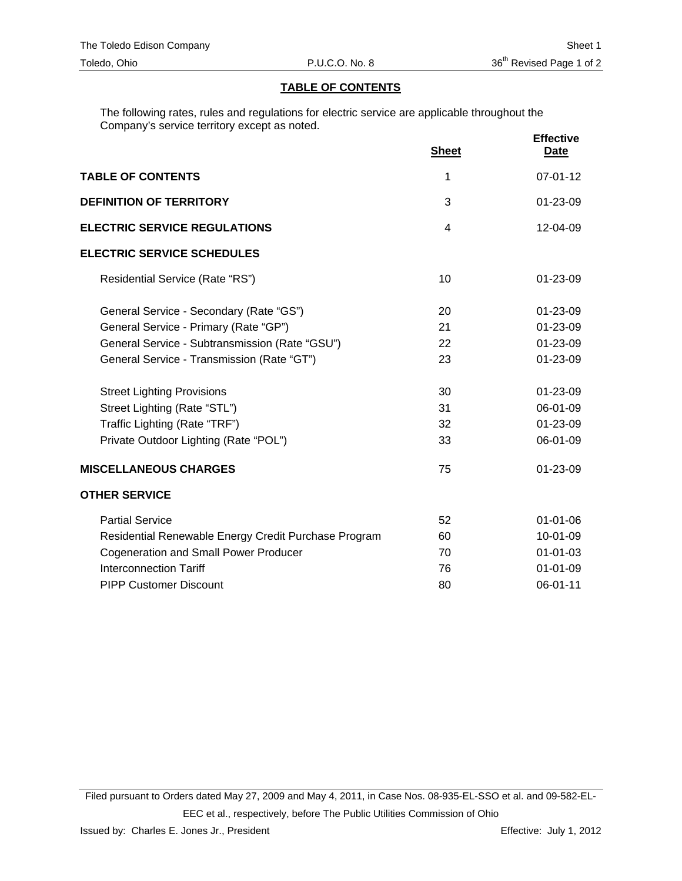## **TABLE OF CONTENTS**

The following rates, rules and regulations for electric service are applicable throughout the Company's service territory except as noted.

|                                                      | <b>Sheet</b>   | <b>Effective</b><br><b>Date</b> |
|------------------------------------------------------|----------------|---------------------------------|
| <b>TABLE OF CONTENTS</b>                             | 1              | $07 - 01 - 12$                  |
| <b>DEFINITION OF TERRITORY</b>                       | 3              | 01-23-09                        |
| <b>ELECTRIC SERVICE REGULATIONS</b>                  | $\overline{4}$ | 12-04-09                        |
| <b>ELECTRIC SERVICE SCHEDULES</b>                    |                |                                 |
| Residential Service (Rate "RS")                      | 10             | $01 - 23 - 09$                  |
| General Service - Secondary (Rate "GS")              | 20             | $01 - 23 - 09$                  |
| General Service - Primary (Rate "GP")                | 21             | $01 - 23 - 09$                  |
| General Service - Subtransmission (Rate "GSU")       | 22             | 01-23-09                        |
| General Service - Transmission (Rate "GT")           | 23             | 01-23-09                        |
| <b>Street Lighting Provisions</b>                    | 30             | $01 - 23 - 09$                  |
| Street Lighting (Rate "STL")                         | 31             | 06-01-09                        |
| Traffic Lighting (Rate "TRF")                        | 32             | 01-23-09                        |
| Private Outdoor Lighting (Rate "POL")                | 33             | 06-01-09                        |
| <b>MISCELLANEOUS CHARGES</b>                         | 75             | $01 - 23 - 09$                  |
| <b>OTHER SERVICE</b>                                 |                |                                 |
| <b>Partial Service</b>                               | 52             | $01 - 01 - 06$                  |
| Residential Renewable Energy Credit Purchase Program | 60             | 10-01-09                        |
| <b>Cogeneration and Small Power Producer</b>         | 70             | $01 - 01 - 03$                  |
| <b>Interconnection Tariff</b>                        | 76             | $01 - 01 - 09$                  |
| <b>PIPP Customer Discount</b>                        | 80             | 06-01-11                        |

Filed pursuant to Orders dated May 27, 2009 and May 4, 2011, in Case Nos. 08-935-EL-SSO et al. and 09-582-EL-EEC et al., respectively, before The Public Utilities Commission of Ohio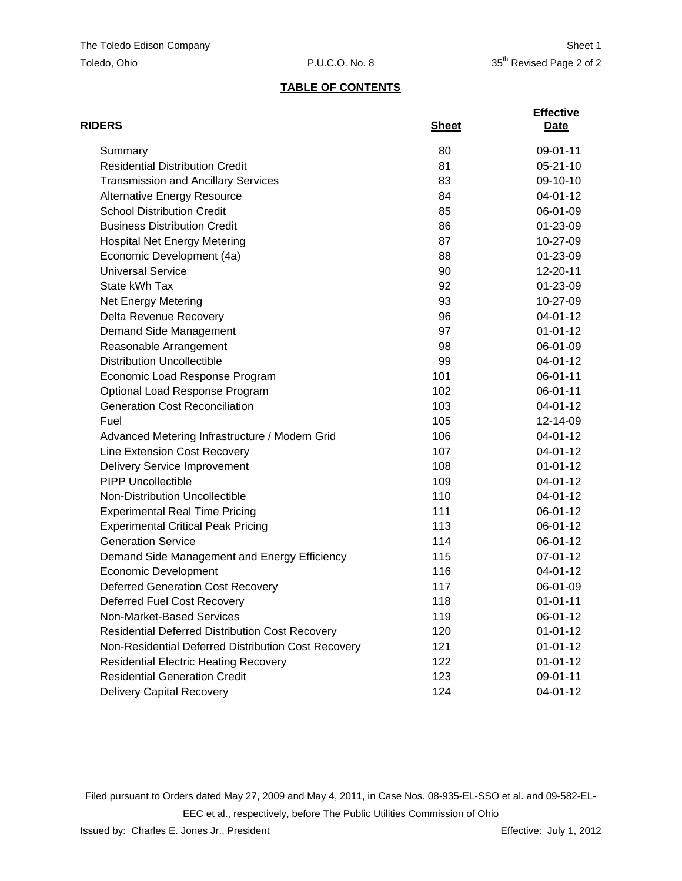## **TABLE OF CONTENTS**

| <b>RIDERS</b>                                          | <b>Sheet</b> | <b>Effective</b><br>Date |
|--------------------------------------------------------|--------------|--------------------------|
| Summary                                                | 80           | 09-01-11                 |
| <b>Residential Distribution Credit</b>                 | 81           | $05 - 21 - 10$           |
| <b>Transmission and Ancillary Services</b>             | 83           | 09-10-10                 |
| <b>Alternative Energy Resource</b>                     | 84           | 04-01-12                 |
| <b>School Distribution Credit</b>                      | 85           | 06-01-09                 |
| <b>Business Distribution Credit</b>                    | 86           | 01-23-09                 |
| <b>Hospital Net Energy Metering</b>                    | 87           | 10-27-09                 |
| Economic Development (4a)                              | 88           | 01-23-09                 |
| <b>Universal Service</b>                               | 90           | 12-20-11                 |
| State kWh Tax                                          | 92           | 01-23-09                 |
| <b>Net Energy Metering</b>                             | 93           | 10-27-09                 |
| Delta Revenue Recovery                                 | 96           | 04-01-12                 |
| Demand Side Management                                 | 97           | $01 - 01 - 12$           |
| Reasonable Arrangement                                 | 98           | 06-01-09                 |
| <b>Distribution Uncollectible</b>                      | 99           | 04-01-12                 |
| Economic Load Response Program                         | 101          | 06-01-11                 |
| Optional Load Response Program                         | 102          | 06-01-11                 |
| <b>Generation Cost Reconciliation</b>                  | 103          | 04-01-12                 |
| Fuel                                                   | 105          | 12-14-09                 |
| Advanced Metering Infrastructure / Modern Grid         | 106          | 04-01-12                 |
| Line Extension Cost Recovery                           | 107          | 04-01-12                 |
| <b>Delivery Service Improvement</b>                    | 108          | $01 - 01 - 12$           |
| <b>PIPP Uncollectible</b>                              | 109          | 04-01-12                 |
| Non-Distribution Uncollectible                         | 110          | 04-01-12                 |
| <b>Experimental Real Time Pricing</b>                  | 111          | 06-01-12                 |
| <b>Experimental Critical Peak Pricing</b>              | 113          | 06-01-12                 |
| <b>Generation Service</b>                              | 114          | 06-01-12                 |
| Demand Side Management and Energy Efficiency           | 115          | 07-01-12                 |
| <b>Economic Development</b>                            | 116          | 04-01-12                 |
| <b>Deferred Generation Cost Recovery</b>               | 117          | 06-01-09                 |
| Deferred Fuel Cost Recovery                            | 118          | $01 - 01 - 11$           |
| Non-Market-Based Services                              | 119          | 06-01-12                 |
| <b>Residential Deferred Distribution Cost Recovery</b> | 120          | $01 - 01 - 12$           |
| Non-Residential Deferred Distribution Cost Recovery    | 121          | $01 - 01 - 12$           |
| <b>Residential Electric Heating Recovery</b>           | 122          | $01 - 01 - 12$           |
| <b>Residential Generation Credit</b>                   | 123          | 09-01-11                 |
| <b>Delivery Capital Recovery</b>                       | 124          | 04-01-12                 |

Filed pursuant to Orders dated May 27, 2009 and May 4, 2011, in Case Nos. 08-935-EL-SSO et al. and 09-582-EL-EEC et al., respectively, before The Public Utilities Commission of Ohio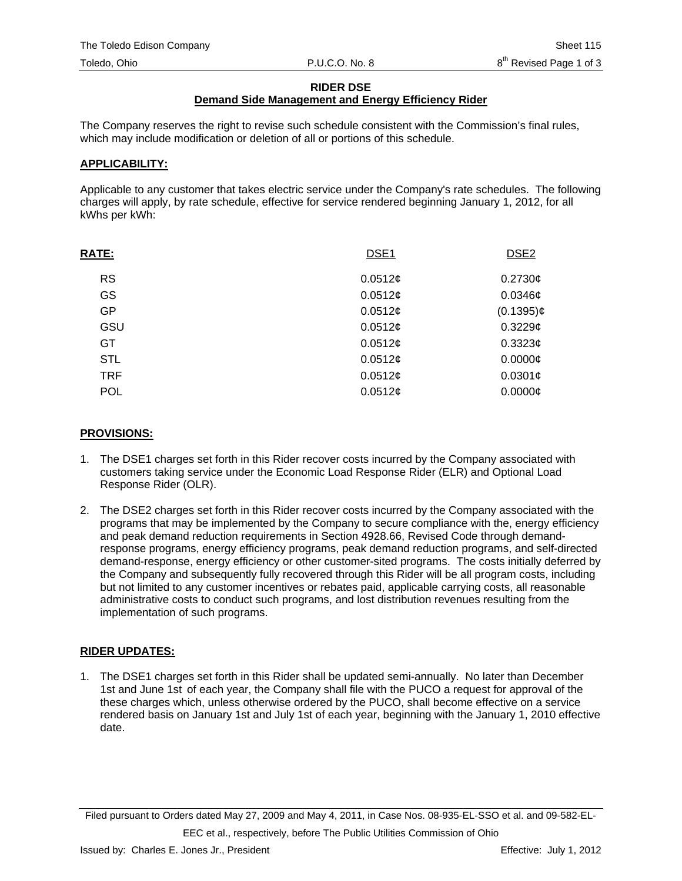#### **RIDER DSE**

# **Demand Side Management and Energy Efficiency Rider**

The Company reserves the right to revise such schedule consistent with the Commission's final rules, which may include modification or deletion of all or portions of this schedule.

#### **APPLICABILITY:**

Applicable to any customer that takes electric service under the Company's rate schedules. The following charges will apply, by rate schedule, effective for service rendered beginning January 1, 2012, for all kWhs per kWh:

| <b>RATE:</b> | DSE <sub>1</sub> | DSE <sub>2</sub> |
|--------------|------------------|------------------|
| <b>RS</b>    | 0.0512c          | 0.2730¢          |
| <b>GS</b>    | 0.0512¢          | $0.0346$ ¢       |
| GP           | 0.0512¢          | $(0.1395)$ ¢     |
| GSU          | 0.0512¢          | $0.3229$ ¢       |
| GT           | 0.0512¢          | $0.3323$ ¢       |
| <b>STL</b>   | 0.0512¢          | $0.0000$ ¢       |
| <b>TRF</b>   | 0.0512¢          | 0.0301¢          |
| <b>POL</b>   | 0.0512¢          | $0.0000$ ¢       |

#### **PROVISIONS:**

- 1. The DSE1 charges set forth in this Rider recover costs incurred by the Company associated with customers taking service under the Economic Load Response Rider (ELR) and Optional Load Response Rider (OLR).
- 2. The DSE2 charges set forth in this Rider recover costs incurred by the Company associated with the programs that may be implemented by the Company to secure compliance with the, energy efficiency and peak demand reduction requirements in Section 4928.66, Revised Code through demandresponse programs, energy efficiency programs, peak demand reduction programs, and self-directed demand-response, energy efficiency or other customer-sited programs. The costs initially deferred by the Company and subsequently fully recovered through this Rider will be all program costs, including but not limited to any customer incentives or rebates paid, applicable carrying costs, all reasonable administrative costs to conduct such programs, and lost distribution revenues resulting from the implementation of such programs.

## **RIDER UPDATES:**

1. The DSE1 charges set forth in this Rider shall be updated semi-annually. No later than December 1st and June 1st of each year, the Company shall file with the PUCO a request for approval of the these charges which, unless otherwise ordered by the PUCO, shall become effective on a service rendered basis on January 1st and July 1st of each year, beginning with the January 1, 2010 effective date.

Filed pursuant to Orders dated May 27, 2009 and May 4, 2011, in Case Nos. 08-935-EL-SSO et al. and 09-582-EL-EEC et al., respectively, before The Public Utilities Commission of Ohio